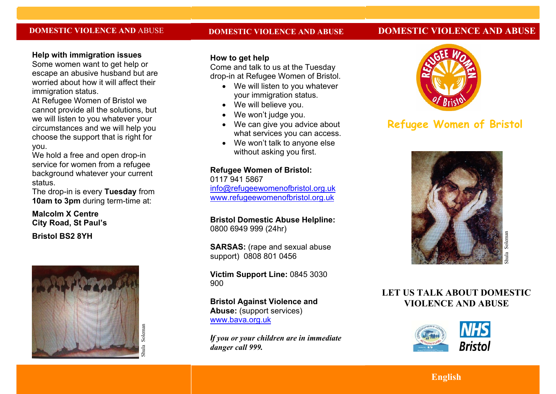## **DOMESTIC VIOLENCE AND** ABUSE

#### **DOMESTIC VIOLENCE AND ABUSE**

## **DOMESTIC VIOLENCE AND ABUSE**

## **Help with immigration issues**

Some women want to get help or escape an abusive husband but are worried about how it will affect their immigration status.

At Refugee Women of Bristol we cannot provide all the solutions, but we will listen to you whatever your circumstances and we will help you choose the support that is right for you.

We hold a free and open drop-in service for women from a refugee background whatever your current status.

The drop-in is every **Tuesday** from **10am to 3pm** during term-time at:

## **Malcolm X Centre City Road, St Paul's**

**Bristol BS2 8YH**



## **How to get help**

Come and talk to us at the Tuesday drop-in at Refugee Women of Bristol.

- · We will listen to you whatever your immigration status.
- · We will believe you.
- · We won't judge you.
- We can give you advice about what services you can access.
- · We won't talk to anyone else without asking you first.

## **Refugee Women of Bristol:**

0117 941 5867 info@refugeewomenofbristol.org.uk www.refugeewomenofbristol.org.uk

**Bristol Domestic Abuse Helpline:** 0800 6949 999 (24hr)

**SARSAS:** (rape and sexual abuse support) 0808 801 0456

**Victim Support Line:** 0845 3030 900

**Bristol Against Violence and Abuse:** (support services) www.bava.org.uk

*If you or your children are in immediate danger call 999.*



# **Refugee Women of Bristol**



## **LET US TALK ABOUT DOMESTIC VIOLENCE AND ABUSE**



**English**